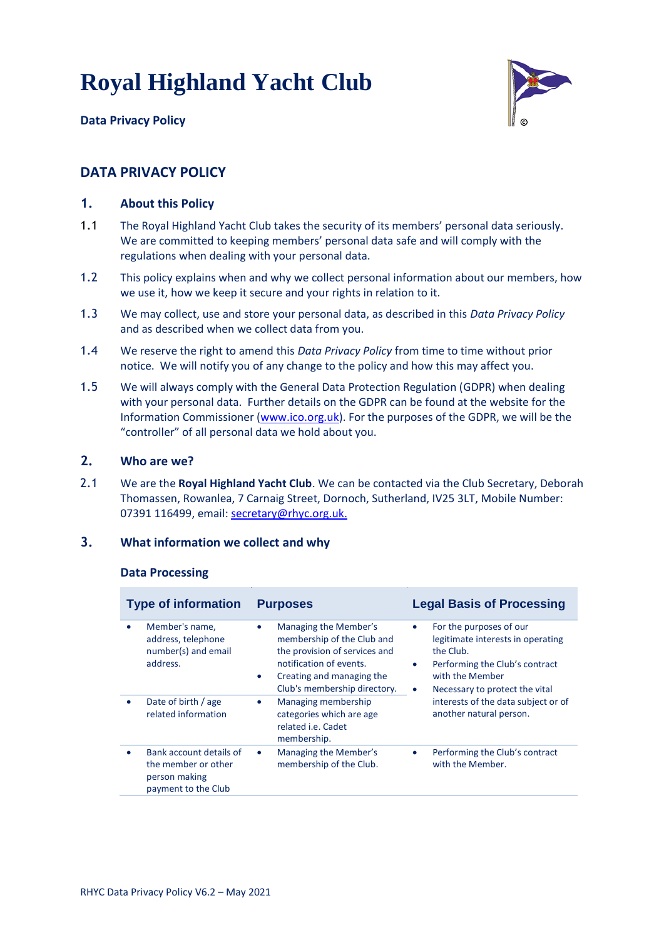



# **DATA PRIVACY POLICY**

## **1. About this Policy**

- 1.1 The Royal Highland Yacht Club takes the security of its members' personal data seriously. We are committed to keeping members' personal data safe and will comply with the regulations when dealing with your personal data.
- 1.2 This policy explains when and why we collect personal information about our members, how we use it, how we keep it secure and your rights in relation to it.
- 1.3 We may collect, use and store your personal data, as described in this *Data Privacy Policy* and as described when we collect data from you.
- 1.4 We reserve the right to amend this *Data Privacy Policy* from time to time without prior notice. We will notify you of any change to the policy and how this may affect you.
- 1.5 We will always comply with the General Data Protection Regulation (GDPR) when dealing with your personal data. Further details on the GDPR can be found at the website for the Information Commissioner [\(www.ico.org.uk\)](http://www.ico.org.uk/). For the purposes of the GDPR, we will be the "controller" of all personal data we hold about you.

#### **2. Who are we?**

2.1 We are the **Royal Highland Yacht Club**. We can be contacted via the Club Secretary, Deborah Thomassen, Rowanlea, 7 Carnaig Street, Dornoch, Sutherland, IV25 3LT, Mobile Number: 07391 116499, email: [secretary@rhyc.org.uk.](mailto:secretary@rhyc.org.uk)

### **3. What information we collect and why**

#### **Data Processing**

| <b>Type of information</b> |                                                                                                                       | <b>Purposes</b>                                                                                                                                                                                                                                                        | <b>Legal Basis of Processing</b>                                                                                                                                                                                                                                          |  |
|----------------------------|-----------------------------------------------------------------------------------------------------------------------|------------------------------------------------------------------------------------------------------------------------------------------------------------------------------------------------------------------------------------------------------------------------|---------------------------------------------------------------------------------------------------------------------------------------------------------------------------------------------------------------------------------------------------------------------------|--|
|                            | Member's name,<br>address, telephone<br>number(s) and email<br>address.<br>Date of birth / age<br>related information | Managing the Member's<br>$\bullet$<br>membership of the Club and<br>the provision of services and<br>notification of events.<br>Creating and managing the<br>$\bullet$<br>Club's membership directory.<br>Managing membership<br>$\bullet$<br>categories which are age | For the purposes of our<br>$\bullet$<br>legitimate interests in operating<br>the Club.<br>Performing the Club's contract<br>$\bullet$<br>with the Member<br>Necessary to protect the vital<br>$\bullet$<br>interests of the data subject or of<br>another natural person. |  |
|                            |                                                                                                                       | related <i>i.e.</i> Cadet<br>membership.                                                                                                                                                                                                                               |                                                                                                                                                                                                                                                                           |  |
|                            | Bank account details of<br>the member or other<br>person making<br>payment to the Club                                | Managing the Member's<br>$\bullet$<br>membership of the Club.                                                                                                                                                                                                          | Performing the Club's contract<br>$\bullet$<br>with the Member.                                                                                                                                                                                                           |  |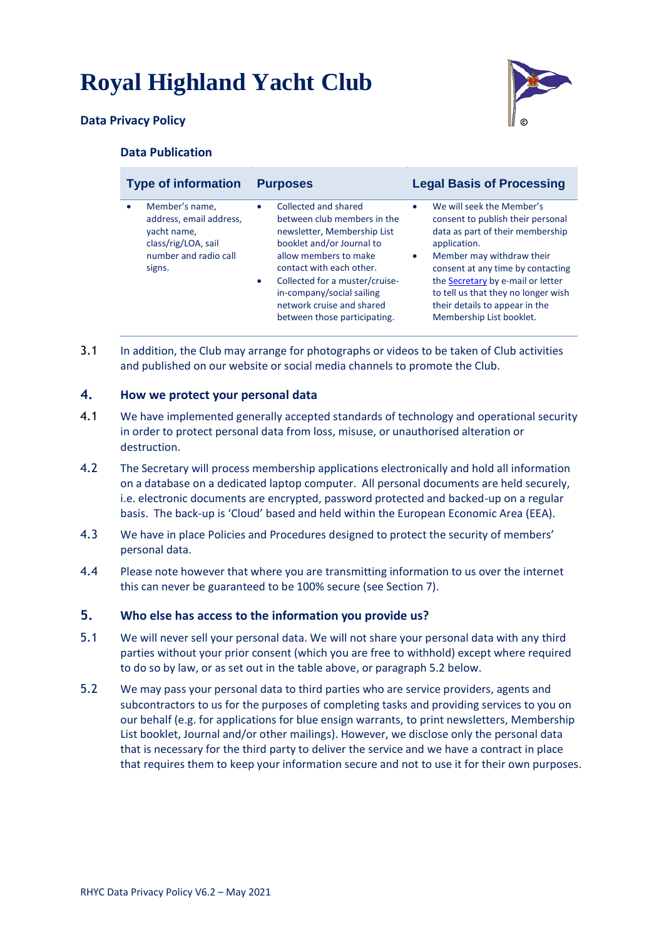

## **Data Privacy Policy**

### **Data Publication**

| <b>Type of information</b> |                                                                                                          | <b>Purposes</b>        |                                                                                                                                                                                                                                                                                                  | <b>Legal Basis of Processing</b> |                                                                                                                                                                                                                                                                                                                                |
|----------------------------|----------------------------------------------------------------------------------------------------------|------------------------|--------------------------------------------------------------------------------------------------------------------------------------------------------------------------------------------------------------------------------------------------------------------------------------------------|----------------------------------|--------------------------------------------------------------------------------------------------------------------------------------------------------------------------------------------------------------------------------------------------------------------------------------------------------------------------------|
| signs.                     | Member's name,<br>address, email address,<br>yacht name,<br>class/rig/LOA, sail<br>number and radio call | $\bullet$<br>$\bullet$ | Collected and shared<br>between club members in the<br>newsletter, Membership List<br>booklet and/or Journal to<br>allow members to make<br>contact with each other.<br>Collected for a muster/cruise-<br>in-company/social sailing<br>network cruise and shared<br>between those participating. | $\bullet$<br>$\bullet$           | We will seek the Member's<br>consent to publish their personal<br>data as part of their membership<br>application.<br>Member may withdraw their<br>consent at any time by contacting<br>the Secretary by e-mail or letter<br>to tell us that they no longer wish<br>their details to appear in the<br>Membership List booklet. |

3.1 In addition, the Club may arrange for photographs or videos to be taken of Club activities and published on our website or social media channels to promote the Club.

### **4. How we protect your personal data**

- 4.1 We have implemented generally accepted standards of technology and operational security in order to protect personal data from loss, misuse, or unauthorised alteration or destruction.
- 4.2 The Secretary will process membership applications electronically and hold all information on a database on a dedicated laptop computer. All personal documents are held securely, i.e. electronic documents are encrypted, password protected and backed-up on a regular basis. The back-up is 'Cloud' based and held within the European Economic Area (EEA).
- 4.3 We have in place Policies and Procedures designed to protect the security of members' personal data.
- 4.4 Please note however that where you are transmitting information to us over the internet this can never be guaranteed to be 100% secure (see Section 7).

### **5. Who else has access to the information you provide us?**

- 5.1 We will never sell your personal data. We will not share your personal data with any third parties without your prior consent (which you are free to withhold) except where required to do so by law, or as set out in the table above, or paragraph 5.2 below.
- 5.2 We may pass your personal data to third parties who are service providers, agents and subcontractors to us for the purposes of completing tasks and providing services to you on our behalf (e.g. for applications for blue ensign warrants, to print newsletters, Membership List booklet, Journal and/or other mailings). However, we disclose only the personal data that is necessary for the third party to deliver the service and we have a contract in place that requires them to keep your information secure and not to use it for their own purposes.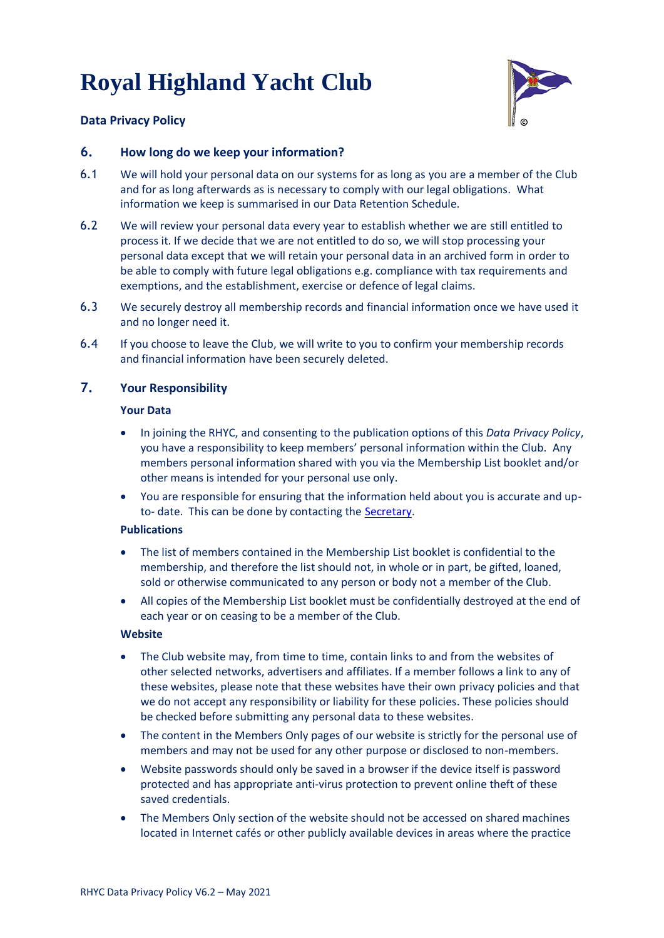

## **Data Privacy Policy**

## **6. How long do we keep your information?**

- 6.1 We will hold your personal data on our systems for as long as you are a member of the Club and for as long afterwards as is necessary to comply with our legal obligations. What information we keep is summarised in our Data Retention Schedule.
- 6.2 We will review your personal data every year to establish whether we are still entitled to process it. If we decide that we are not entitled to do so, we will stop processing your personal data except that we will retain your personal data in an archived form in order to be able to comply with future legal obligations e.g. compliance with tax requirements and exemptions, and the establishment, exercise or defence of legal claims.
- 6.3 We securely destroy all membership records and financial information once we have used it and no longer need it.
- 6.4 If you choose to leave the Club, we will write to you to confirm your membership records and financial information have been securely deleted.

## **7. Your Responsibility**

#### **Your Data**

- In joining the RHYC, and consenting to the publication options of this *Data Privacy Policy*, you have a responsibility to keep members' personal information within the Club. Any members personal information shared with you via the Membership List booklet and/or other means is intended for your personal use only.
- You are responsible for ensuring that the information held about you is accurate and upto- date. This can be done by contacting the [Secretary.](mailto:secretary@rhyc.org.uk)

#### **Publications**

- The list of members contained in the Membership List booklet is confidential to the membership, and therefore the list should not, in whole or in part, be gifted, loaned, sold or otherwise communicated to any person or body not a member of the Club.
- All copies of the Membership List booklet must be confidentially destroyed at the end of each year or on ceasing to be a member of the Club.

#### **Website**

- The Club website may, from time to time, contain links to and from the websites of other selected networks, advertisers and affiliates. If a member follows a link to any of these websites, please note that these websites have their own privacy policies and that we do not accept any responsibility or liability for these policies. These policies should be checked before submitting any personal data to these websites.
- The content in the Members Only pages of our website is strictly for the personal use of members and may not be used for any other purpose or disclosed to non-members.
- Website passwords should only be saved in a browser if the device itself is password protected and has appropriate anti-virus protection to prevent online theft of these saved credentials.
- The Members Only section of the website should not be accessed on shared machines located in Internet cafés or other publicly available devices in areas where the practice